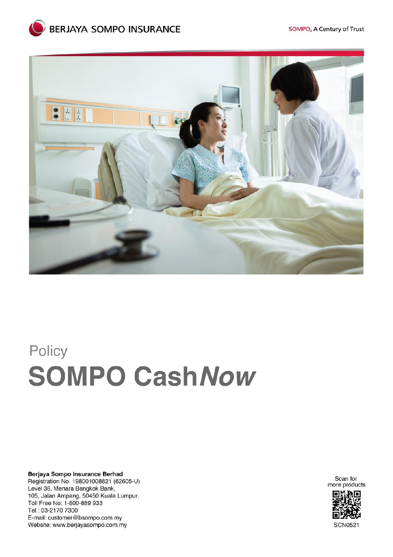

# Policy **SOMPO Cash Now**

Berjaya Sompo Insurance Berhad Registration No. 198001008821 (62605-U) Level 36, Menara Bangkok Bank,<br>105, Jalan Ampang, 50450 Kuala Lumpur. Toll Free No: 1-800-889 933 Tel.: 03-2170 7300 E-mail: customer@bsompo.com.my Website: www.berjayasompo.com.my

Scan for more products



**SCN0521**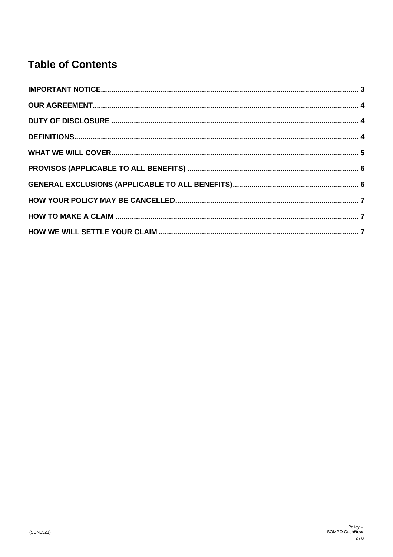# **Table of Contents**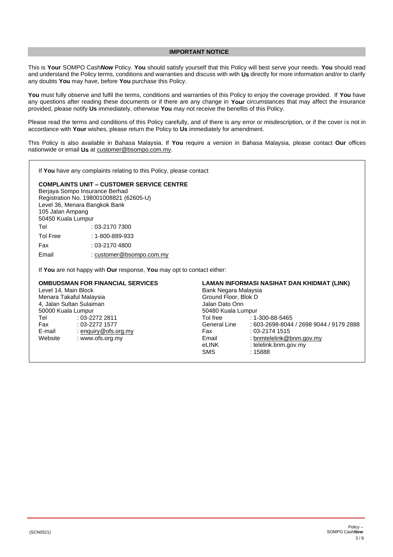#### **IMPORTANT NOTICE**

<span id="page-2-0"></span>This is **Your** SOMPO Cash*Now* Policy. **You** should satisfy yourself that this Policy will best serve your needs. **You** should read and understand the Policy terms, conditions and warranties and discuss with with **Us** directly for more information and/or to clarify any doubts **You** may have, before **You** purchase this Policy.

**You** must fully observe and fulfil the terms, conditions and warranties of this Policy to enjoy the coverage provided. If **You** have any questions after reading these documents or if there are any change in **Your** circumstances that may affect the insurance provided, please notify **Us** immediately, otherwise **You** may not receive the benefits of this Policy.

Please read the terms and conditions of this Policy carefully, and of there is any error or misdescription, or if the cover is not in accordance with **Your** wishes, please return the Policy to **Us** immediately for amendment.

This Policy is also available in Bahasa Malaysia. If **You** require a version in Bahasa Malaysia, please contact **Our** offices nationwide or email **Us** a[t customer@bsompo.com.my.](mailto:customer@bsompo.com.my)

If **You** have any complaints relating to this Policy, please contact

#### **COMPLAINTS UNIT – CUSTOMER SERVICE CENTRE**

Berjaya Sompo Insurance Berhad Registration No. 198001008821 (62605-U) Level 36, Menara Bangkok Bank 105 Jalan Ampang 50450 Kuala Lumpur Tel : 03-2170 7300 Tol Free : 1-800-889-933 Fax : 03-2170 4800 Email : [customer@bsompo.com.my](mailto:customer@bsompo.com.my)

If **You** are not happy with **Our** response, **You** may opt to contact either:

#### **OMBUDSMAN FOR FINANCIAL SERVICES**

Level 14, Main Block Menara Takaful Malaysia 4, Jalan Sultan Sulaiman 50000 Kuala Lumpur Tel Fax E-mail Website : 03-2272 2811 : 03-2272 1577 [: enquiry@ofs.org.my](mailto:enquiry@ofs.org.my) : www.ofs.org.my

**LAMAN INFORMASI NASIHAT DAN KHIDMAT (LINK)**

Bank Negara Malaysia Ground Floor, Blok D Jalan Dato Onn 50480 Kuala Lumpur Tol free General Line Fax Email eLINK SMS : 1-300-88-5465 : 603-2698-8044 / 2698 9044 / 9179 2888  $.03 - 2174$  1515 [: bnmtelelink@bnm.gov.my](mailto:bnmtelelink@bnm.gov.my) : telelink.bnm.gov.my : 15888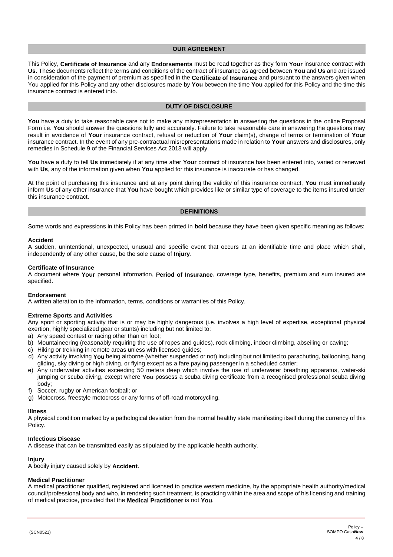#### **OUR AGREEMENT**

<span id="page-3-0"></span>This Policy, **Certificate of Insurance** and any **Endorsements** must be read together as they form **Your** insurance contract with **Us**. These documents reflect the terms and conditions of the contract of insurance as agreed between **You** and **Us** and are issued in consideration of the payment of premium as specified in the **Certificate of Insurance** and pursuant to the answers given when You applied for this Policy and any other disclosures made by **You** between the time **You** applied for this Policy and the time this insurance contract is entered into.

#### **DUTY OF DISCLOSURE**

<span id="page-3-1"></span>You have a duty to take reasonable care not to make any misrepresentation in answering the questions in the online Proposal Form i.e. **You** should answer the questions fully and accurately. Failure to take reasonable care in answering the questions may result in avoidance of **Your** insurance contract, refusal or reduction of **Your** claim(s), change of terms or termination of **Your** insurance contract. In the event of any pre-contractual misrepresentations made in relation to **Your** answers and disclosures, only remedies in Schedule 9 of the Financial Services Act 2013 will apply.

**You** have a duty to tell **Us** immediately if at any time after **Your** contract of insurance has been entered into, varied or renewed with **Us**, any of the information given when **You** applied for this insurance is inaccurate or has changed.

At the point of purchasing this insurance and at any point during the validity of this insurance contract, **You** must immediately inform **Us** of any other insurance that **You** have bought which provides like or similar type of coverage to the items insured under this insurance contract.

#### **DEFINITIONS**

<span id="page-3-2"></span>Some words and expressions in this Policy has been printed in **bold** because they have been given specific meaning as follows:

#### **Accident**

A sudden, unintentional, unexpected, unusual and specific event that occurs at an identifiable time and place which shall, independently of any other cause, be the sole cause of **Injury**.

#### **Certificate of Insurance**

A document where **Your** personal information, **Period of Insurance**, coverage type, benefits, premium and sum insured are specified.

#### **Endorsement**

A written alteration to the information, terms, conditions or warranties of this Policy.

#### **Extreme Sports and Activities**

Any sport or sporting activity that is or may be highly dangerous (i.e. involves a high level of expertise, exceptional physical exertion, highly specialized gear or stunts) including but not limited to:

- a) Any speed contest or racing other than on foot;
- b) Mountaineering (reasonably requiring the use of ropes and guides), rock climbing, indoor climbing, abseiling or caving;
- c) Hiking or trekking in remote areas unless with licensed guides;
- d) Any activity involving **You** being airborne (whether suspended or not) including but not limited to parachuting, ballooning, hang gliding, sky diving or high diving, or flying except as a fare paying passenger in a scheduled carrier;
- e) Any underwater activities exceeding 50 meters deep which involve the use of underwater breathing apparatus, water-ski jumping or scuba diving, except where **You** possess a scuba diving certificate from a recognised professional scuba diving body;
- f) Soccer, rugby or American football; or
- g) Motocross, freestyle motocross or any forms of off-road motorcycling.

#### **Illness**

A physical condition marked by a pathological deviation from the normal healthy state manifesting itself during the currency of this Policy.

#### **Infectious Disease**

A disease that can be transmitted easily as stipulated by the applicable health authority.

#### **Injury**

A bodily injury caused solely by **Accident.**

#### **Medical Practitioner**

A medical practitioner qualified, registered and licensed to practice western medicine, by the appropriate health authority/medical council/professional body and who, in rendering such treatment, is practicing within the area and scope of his licensing and training of medical practice, provided that the **Medical Practitioner** is not **You**.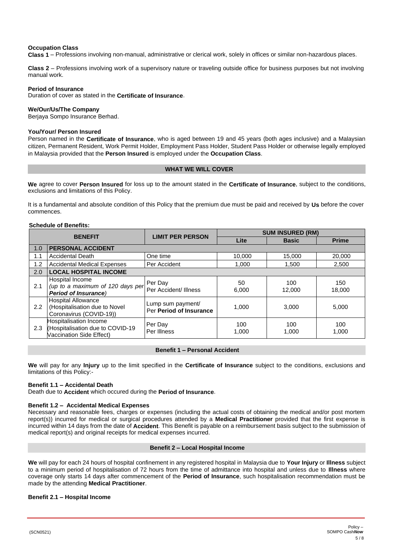# **Occupation Class**

**Class 1** – Professions involving non-manual, administrative or clerical work, solely in offices or similar non-hazardous places.

**Class 2** – Professions involving work of a supervisory nature or traveling outside office for business purposes but not involving manual work.

#### **Period of Insurance**

Duration of cover as stated in the **Certificate of Insurance**.

# **We/Our/Us/The Company**

Berjaya Sompo Insurance Berhad.

#### **You/Your/ Person Insured**

Person named in the **Certificate of Insurance**, who is aged between 19 and 45 years (both ages inclusive) and a Malaysian citizen, Permanent Resident, Work Permit Holder, Employment Pass Holder, Student Pass Holder or otherwise legally employed in Malaysia provided that the **Person Insured** is employed under the **Occupation Class**.

#### **WHAT WE WILL COVER**

<span id="page-4-0"></span>**We** agree to cover **Person Insured** for loss up to the amount stated in the **Certificate of Insurance**, subject to the conditions, exclusions and limitations of this Policy.

It is a fundamental and absolute condition of this Policy that the premium due must be paid and received by **Us** before the cover commences.

# **Schedule of Benefits:**

| <b>BENEFIT</b> |                                                                                        | <b>LIMIT PER PERSON</b>                      | <b>SUM INSURED (RM)</b> |               |               |  |  |
|----------------|----------------------------------------------------------------------------------------|----------------------------------------------|-------------------------|---------------|---------------|--|--|
|                |                                                                                        |                                              | Lite                    | <b>Basic</b>  | <b>Prime</b>  |  |  |
| 1.0            | <b>PERSONAL ACCIDENT</b>                                                               |                                              |                         |               |               |  |  |
| 1.1            | <b>Accidental Death</b>                                                                | One time                                     | 10,000                  | 15,000        | 20,000        |  |  |
| 1.2            | <b>Accidental Medical Expenses</b>                                                     | Per Accident                                 | 1,000                   | 1,500         | 2,500         |  |  |
| 2.0            | <b>LOCAL HOSPITAL INCOME</b>                                                           |                                              |                         |               |               |  |  |
| 2.1            | Hospital Income<br>(up to a maximum of 120 days per<br><b>Period of Insurance)</b>     | Per Day<br>Per Accident/ Illness             | 50<br>6,000             | 100<br>12.000 | 150<br>18,000 |  |  |
| 2.2            | <b>Hospital Allowance</b><br>(Hospitalisation due to Novel<br>Coronavirus (COVID-19))  | Lump sum payment/<br>Per Period of Insurance | 1,000                   | 3,000         | 5,000         |  |  |
| 2.3            | Hospitalisation Income<br>(Hospitalisation due to COVID-19<br>Vaccination Side Effect) | Per Day<br>Per Illness                       | 100<br>1,000            | 100<br>1,000  | 100<br>1,000  |  |  |

# **Benefit 1 – Personal Accident**

**We** will pay for any **Injury** up to the limit specified in the **Certificate of Insurance** subject to the conditions, exclusions and limitations of this Policy:-

#### **Benefit 1.1 – Accidental Death**

Death due to **Accident** which occured during the **Period of Insurance**.

#### **Benefit 1.2 – Accidental Medical Expenses**

Necessary and reasonable fees, charges or expenses (including the actual costs of obtaining the medical and/or post mortem report(s)) incurred for medical or surgical procedures attended by a **Medical Practitioner** provided that the first expense is incurred within 14 days from the date of **Accident**. This Benefit is payable on a reimbursement basis subject to the submission of medical report(s) and original receipts for medical expenses incurred.

#### **Benefit 2 – Local Hospital Income**

**We** will pay for each 24 hours of hospital confinement in any registered hospital in Malaysia due to **Your Injury** or **Illness** subject to a minimum period of hospitalisation of 72 hours from the time of admittance into hospital and unless due to **Illness** where coverage only starts 14 days after commencement of the **Period of Insurance**, such hospitalisation recommendation must be made by the attending **Medical Practitioner**.

#### **Benefit 2.1 – Hospital Income**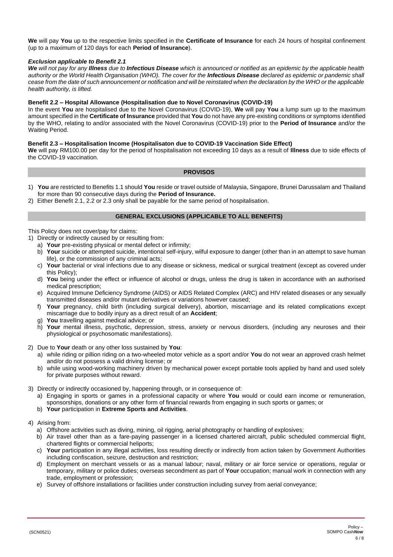**We** will pay **You** up to the respective limits specified in the **Certificate of Insurance** for each 24 hours of hospital confinement (up to a maximum of 120 days for each **Period of Insurance**).

# *Exclusion applicable to Benefit 2.1*

*We will not pay for any Illness due to Infectious Disease which is announced or notified as an epidemic by the applicable health authority or the World Health Organisation (WHO). The cover for the Infectious Disease declared as epidemic or pandemic shall cease from the date of such announcement or notification and will be reinstated when the declaration by the WHO or the applicable health authority, is lifted.*

# **Benefit 2.2 – Hospital Allowance (Hospitalisation due to Novel Coronavirus (COVID-19)**

In the event **You** are hospitalised due to the Novel Coronavirus (COVID-19), **We** will pay **You** a lump sum up to the maximum amount specified in the **Certificate of Insurance** provided that **You** do not have any pre-existing conditions or symptoms identified by the WHO, relating to and/or associated with the Novel Coronavirus (COVID-19) prior to the **Period of Insurance** and/or the Waiting Period.

#### **Benefit 2.3 – Hospitalisation Income (Hospitalisaton due to COVID-19 Vaccination Side Effect)**

**We** will pay RM100.00 per day for the period of hospitalisation not exceeding 10 days as a result of **Illness** due to side effects of the COVID-19 vaccination.

#### **PROVISOS**

- <span id="page-5-0"></span>1) **You** are restricted to Benefits 1.1 should **You** reside or travel outside of Malaysia, Singapore, Brunei Darussalam and Thailand for more than 90 consecutive days during the **Period of Insurance.**
- <span id="page-5-1"></span>2) Either Benefit 2.1, 2.2 or 2.3 only shall be payable for the same period of hospitalisation.

# **GENERAL EXCLUSIONS (APPLICABLE TO ALL BENEFITS)**

This Policy does not cover/pay for claims:

- 1) Directly or indirectly caused by or resulting from:
	- a) **Your** pre-existing physical or mental defect or infirmity;
	- b) **Your** suicide or attempted suicide, intentional self-injury, wilful exposure to danger (other than in an attempt to save human life), or the commission of any criminal acts;
	- c) **Your** bacterial or viral infections due to any disease or sickness, medical or surgical treatment (except as covered under this Policy);
	- d) **You** being under the effect or influence of alcohol or drugs, unless the drug is taken in accordance with an authorised medical prescription;
	- e) Acquired Immune Deficiency Syndrome (AIDS) or AIDS Related Complex (ARC) and HIV related diseases or any sexually transmitted diseases and/or mutant derivatives or variations however caused;
	- f) **Your** pregnancy, child birth (including surgical delivery), abortion, miscarriage and its related complications except miscarriage due to bodily injury as a direct result of an **Accident**;
	- g) **You** travelling against medical advice; or
	- h) **Your** mental illness, psychotic, depression, stress, anxiety or nervous disorders, (including any neuroses and their physiological or psychosomatic manifestations).
- 2) Due to **Your** death or any other loss sustained by **You**:
	- a) while riding or pillion riding on a two-wheeled motor vehicle as a sport and/or **You** do not wear an approved crash helmet and/or do not possess a valid driving license; or
	- b) while using wood-working machinery driven by mechanical power except portable tools applied by hand and used solely for private purposes without reward.
- 3) Directly or indirectly occasioned by, happening through, or in consequence of:
	- a) Engaging in sports or games in a professional capacity or where **You** would or could earn income or remuneration, sponsorships, donations or any other form of financial rewards from engaging in such sports or games; or
	- b) **Your** participation in **Extreme Sports and Activities**.

#### 4) Arising from:

- a) Offshore activities such as diving, mining, oil rigging, aerial photography or handling of explosives;
- b) Air travel other than as a fare-paying passenger in a licensed chartered aircraft, public scheduled commercial flight, chartered flights or commercial heliports;
- c) **Your** participation in any illegal activities, loss resulting directly or indirectly from action taken by Government Authorities including confiscation, seizure, destruction and restriction;
- d) Employment on merchant vessels or as a manual labour; naval, military or air force service or operations, regular or temporary, military or police duties; overseas secondment as part of **Your** occupation; manual work in connection with any trade, employment or profession;
- e) Survey of offshore installations or facilities under construction including survey from aerial conveyance;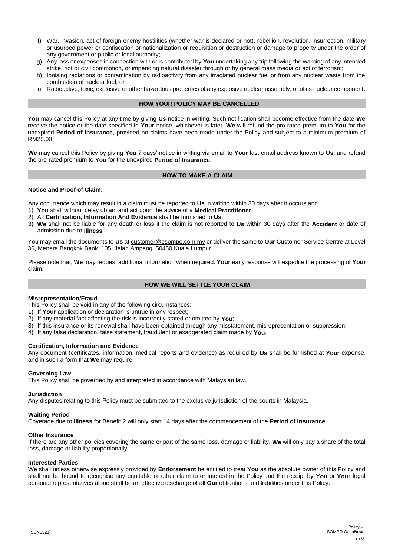- f) War, invasion, act of foreign enemy hostilities (whether war is declared or not), rebellion, revolution, insurrection, military or usurped power or confiscation or nationalization or requisition or destruction or damage to property under the order of any government or public or local authority;
- g) Any loss or expenses in connection with or is contributed by **You** undertaking any trip following the warning of any intended strike, riot or civil commotion, or impending natural disaster through or by general mass media or act of terrorism;
- h) Ionising radiations or contamination by radioactivity from any irradiated nuclear fuel or from any nuclear waste from the combustion of nuclear fuel; or
- i) Radioactive, toxic, explosive or other hazardous properties of any explosive nuclear assembly, or of its nuclear component.

#### **HOW YOUR POLICY MAY BE CANCELLED**

<span id="page-6-0"></span>**You** may cancel this Policy at any time by giving **Us** notice in writing. Such notification shall become effective from the date **We**  receive the notice or the date specified in **Your** notice, whichever is later. **We** will refund the pro-rated premium to **You** for the unexpired **Period of Insurance**, provided no claims have been made under the Policy and subject to a minimum premium of RM25.00.

**We** may cancel this Policy by giving **You** 7 days' notice in writing via email to **Your** last email address known to **Us,** and refund the pro-rated premium to **You** for the unexpired **Period of Insurance**.

# <span id="page-6-1"></span>**[HOW TO MAKE A CLAIM](file:///C:/Users/ymngiam/AppData/Local/Packages/Microsoft.Office.Desktop_8wekyb3d8bbwe/AC/INetCache/Content.Outlook/WJNTQBTX/Ultima%20V3%20PW.%20Simplification%20%20ENG%20(UW%2016042020)_MSC-%20V1.docx)**

# **Notice and Proof of Claim:**

Any occurrence which may result in a claim must be reported to **Us** in writing within 30 days after it occurs and

- 1) **You** shall without delay obtain and act upon the advice of a **Medical Practitioner**.
- 2) All **Certification, Information And Evidence** shall be furnished to **Us.**
- 3) **We** shall not be liable for any death or loss if the claim is not reported to **Us** within 30 days after the **Accident** or date of admission due to **Illness**.

You may email the documents to **Us** at [customer@bsompo.com.my](mailto:customer@bsompo.com.my) or deliver the same to **Our** Customer Service Centre at Level 36, Menara Bangkok Bank, 105, Jalan Ampang, 50450 Kuala Lumpur.

Please note that, **We** may request additional information when required. **Your** early response will expedite the processing of **Your** claim.

# <span id="page-6-2"></span>**[HOW WE WILL SETTLE YOUR CLAIM](file:///C:/Users/ymngiam/AppData/Local/Packages/Microsoft.Office.Desktop_8wekyb3d8bbwe/AC/INetCache/Content.Outlook/WJNTQBTX/Ultima%20V3%20PW.%20Simplification%20%20ENG%20(UW%2016042020)_MSC-%20V1.docx)**

#### **Misrepresentation/Fraud**

This Policy shall be void in any of the following circumstances:

- 1) If **Your** application or declaration is untrue in any respect;
- 2) If any material fact affecting the risk is incorrectly stated or omitted by **You**;
- 3) If this insurance or its renewal shall have been obtained through any misstatement, misrepresentation or suppression;
- 4) If any false declaration, false statement, fraudulent or exaggerated claim made by **You**.

#### **Certification, Information and Evidence**

Any document (certificates, information, medical reports and evidence) as required by **Us** shall be furnished at **Your** expense, and in such a form that **We** may require.

#### **Governing Law**

This Policy shall be governed by and interpreted in accordance with Malaysian law.

#### **Jurisdiction**

Any disputes relating to this Policy must be submitted to the exclusive jurisdiction of the courts in Malaysia.

# **Waiting Period**

Coverage due to **Illness** for Benefit 2 will only start 14 days after the commencement of the **Period of Insurance**.

#### **Other Insurance**

If there are any other policies covering the same or part of the same loss, damage or liability, **We** will only pay a share of the total loss, damage or liability proportionally.

#### **Interested Parties**

We shall unless otherwise expressly provided by **Endorsement** be entitled to treat **You** as the absolute owner of this Policy and shall not be bound to recognise any equitable or other claim to or interest in the Policy and the receipt by **You** or **Your** legal personal representatives alone shall be an effective discharge of all **Our** obligations and liabilities under this Policy.